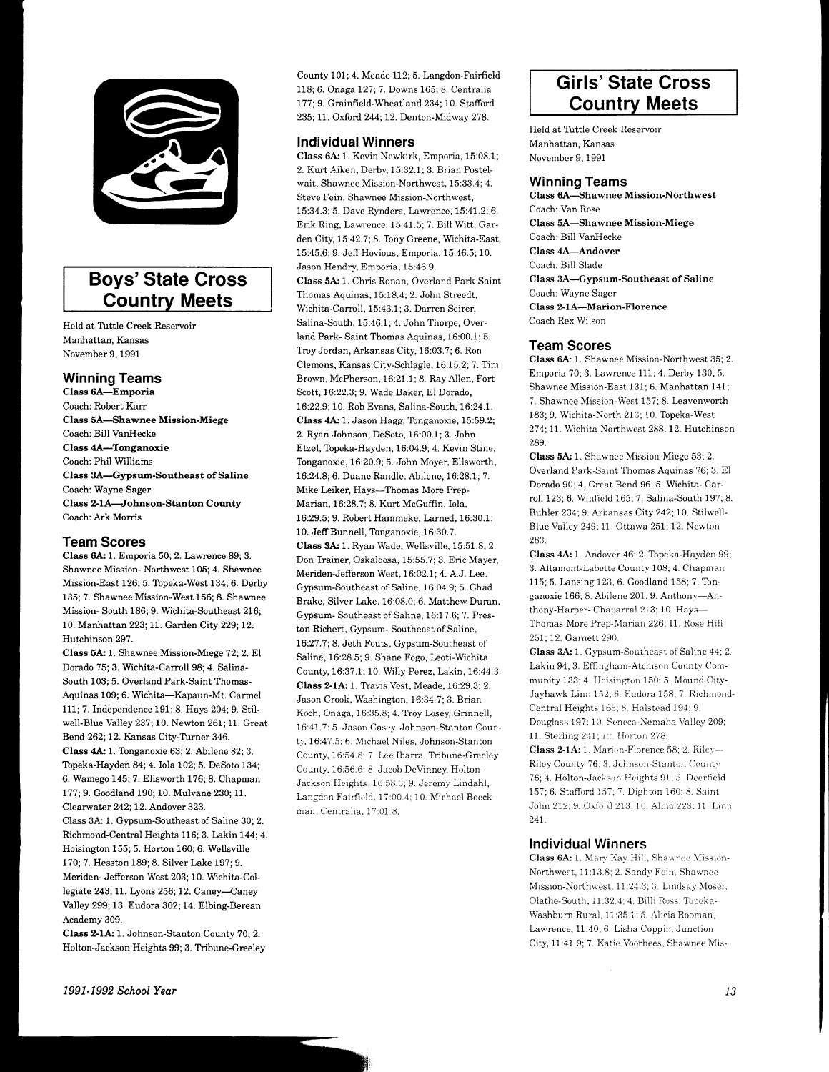

# **Boys' State Cross Country Meets**

Held at Tuttle Creek Reservoir Manhattan, Kansas November 9, 1991

# **Winning Teams**

Class 6A-Emporia Coach: Robert Karr Class 5A-Shawnee Mission-Miege Coach: Bill VanHecke Class 4A-Tonganoxie Coach: Phil Williams Class 3A-Gypsum-Southeast of Saline Coach: Wayne Sager Class 2-1A-Johnson-Stanton County Coach: Ark Morris

### **Team Scores**

Class 6A: 1. Emporia 50: 2. Lawrence 89: 3. Shawnee Mission-Northwest 105; 4. Shawnee Mission-East 126; 5. Topeka-West 134; 6. Derby 135; 7. Shawnee Mission-West 156; 8. Shawnee Mission-South 186; 9. Wichita-Southeast 216; 10. Manhattan 223; 11. Garden City 229; 12. Hutchinson 297.

Class 5A: 1. Shawnee Mission-Miege 72; 2. El Dorado 75; 3. Wichita-Carroll 98; 4. Salina-South 103; 5. Overland Park-Saint Thomas-Aquinas 109; 6. Wichita-Kapaun-Mt. Carmel 111; 7. Independence 191; 8. Hays 204; 9. Stilwell-Blue Valley 237; 10. Newton 261; 11. Great Bend 262; 12. Kansas City-Turner 346. Class 4A: 1. Tonganoxie 63; 2. Abilene 82; 3. Topeka-Hayden 84; 4. Iola 102; 5. DeSoto 134; 6. Wamego 145; 7. Ellsworth 176; 8. Chapman 177; 9. Goodland 190; 10. Mulvane 230; 11. Clearwater 242; 12. Andover 323. Class 3A: 1. Gypsum-Southeast of Saline 30; 2. Richmond-Central Heights 116; 3. Lakin 144; 4. Hoisington 155: 5. Horton 160: 6. Wellsville 170; 7. Hesston 189; 8. Silver Lake 197; 9. Meriden- Jefferson West 203; 10. Wichita-Col-

legiate 243; 11. Lyons 256; 12. Caney-Caney Valley 299; 13. Eudora 302; 14. Elbing-Berean Academy 309.

Class 2-1A: 1. Johnson-Stanton County 70; 2. Holton-Jackson Heights 99; 3. Tribune-Greeley

County 101; 4. Meade 112; 5. Langdon-Fairfield 118; 6. Onaga 127; 7. Downs 165; 8. Centralia 177; 9. Grainfield-Wheatland 234; 10. Stafford 235; 11. Oxford 244; 12. Denton-Midway 278.

### **Individual Winners**

Class 6A: 1. Kevin Newkirk, Emporia, 15:08.1; 2. Kurt Aiken, Derby, 15:32.1; 3. Brian Postelwait, Shawnee Mission-Northwest, 15:33.4; 4. Steve Fein, Shawnee Mission-Northwest, 15:34.3; 5. Dave Rynders, Lawrence, 15:41.2; 6. Erik Ring, Lawrence, 15:41.5; 7. Bill Witt, Garden City, 15:42.7; 8. Tony Greene, Wichita-East, 15:45.6; 9. Jeff Hovious, Emporia, 15:46.5; 10. Jason Hendry, Emporia, 15:46.9. Class 5A: 1. Chris Ronan, Overland Park-Saint Thomas Aquinas, 15:18.4; 2. John Streedt, Wichita-Carroll, 15:43.1; 3. Darren Seirer, Salina-South, 15:46.1; 4. John Thorpe, Overland Park-Saint Thomas Aquinas, 16:00.1; 5. Troy Jordan, Arkansas City, 16:03.7; 6. Ron Clemons, Kansas City-Schlagle, 16:15.2; 7. Tim Brown, McPherson, 16:21.1; 8. Ray Allen, Fort Scott, 16:22.3; 9. Wade Baker, El Dorado, 16:22.9; 10. Rob Evans, Salina-South, 16:24.1. Class 4A: 1. Jason Hagg, Tonganoxie, 15:59.2; 2. Ryan Johnson, DeSoto, 16:00.1; 3. John Etzel, Topeka-Hayden, 16:04.9: 4. Kevin Stine, Tonganoxie, 16:20.9; 5. John Moyer, Ellsworth, 16:24.8; 6. Duane Randle, Abilene, 16:28.1; 7. Mike Leiker, Hays-Thomas More Prep-Marian, 16:28.7; 8. Kurt McGuffin, Iola, 16:29.5; 9. Robert Hammeke, Larned, 16:30.1; 10. Jeff Bunnell, Tonganoxie, 16:30.7. Class 3A: 1. Ryan Wade, Wellsville, 15:51.8; 2. Don Trainer, Oskaloosa, 15:55.7: 3. Eric Mayer, Meriden-Jefferson West, 16:02.1; 4. A.J. Lee, Gypsum-Southeast of Saline, 16:04.9; 5. Chad Brake, Silver Lake, 16:08.0; 6. Matthew Duran, Gypsum-Southeast of Saline, 16:17.6; 7. Preston Richert, Gypsum- Southeast of Saline, 16:27.7; 8. Jeth Fouts, Gypsum-Southeast of Saline, 16:28.5; 9. Shane Fogo, Leoti-Wichita County, 16:37.1; 10. Willy Perez, Lakin, 16:44.3. Class 2-1A: 1. Travis Vest, Meade, 16:29.3; 2. Jason Crook, Washington, 16:34.7; 3. Brian Koch, Onaga, 16:35.8; 4. Troy Losey, Grinnell, 16:41.7:5 Jason Casey Johnson-Stanton County, 16:47.5; 6. Michael Niles, Johnson-Stanton County, 16:54.8; 7. Lee Ibarra, Tribune-Greeley County, 16:56.6; 8. Jacob DeVinney, Holton-Jackson Heights, 16:58.3; 9. Jeremy Lindahl, Langdon Fairfield, 17:00.4; 10. Michael Boeckman, Centralia, 17:01.8.

# **Girls' State Cross Country Meets**

Held at Tuttle Creek Reservoir Manhattan, Kansas November 9, 1991

### **Winning Teams**

**Class 6A-Shawnee Mission-Northwest** Coach: Van Rose **Class 5A-Shawnee Mission-Miege** Coach: Bill VanHecke **Class 4A-Andover** Coach: Bill Slade Class 3A-Gypsum-Southeast of Saline Coach: Wayne Sager Class 2-1A-Marion-Florence Coach Rex Wilson

# **Team Scores**

Class 6A: 1. Shawnee Mission-Northwest 35; 2. Emporia 70; 3. Lawrence 111; 4. Derby 130; 5. Shawnee Mission-East 131; 6. Manhattan 141; 7. Shawnee Mission-West 157; 8. Leavenworth 183; 9. Wichita-North 213; 10. Topeka-West 274; 11. Wichita-Northwest 288; 12. Hutchinson 289

Class 5A: 1. Shawnee Mission-Miege 53; 2. Overland Park-Saint Thomas Aquinas 76; 3. El Dorado 90: 4. Great Bend 96: 5. Wichita-Carroll 123; 6. Winfield 165; 7. Salina-South 197; 8. Buhler 234; 9. Arkansas City 242; 10. Stilwell-Blue Valley 249; 11. Ottawa 251; 12. Newton 283.

Class 4A: 1. Andover 46; 2. Topeka-Hayden 99; 3. Altamont-Labette County 108; 4. Chapman 115; 5. Lansing 123; 6. Goodland 158; 7. Tonganoxie 166; 8. Abilene 201; 9. Anthony-Anthony-Harper- Chaparral 213; 10. Hays-Thomas More Prep-Marian 226; 11. Rose Hill 251:12 Garnett 290

Class 3A: 1. Gypsum-Southeast of Saline 44; 2. Lakin 94; 3. Effingham-Atchison County Community 133; 4. Hoisington 150; 5. Mound City-Jayhawk Linn 152; 6. Eudora 158; 7. Richmond-Central Heights 165; 8. Halstead 194; 9. Douglass 197; 10. Seneca-Nemaha Valley 209; 11. Sterling 241; 12. Horton 278.

Class 2-1A: 1. Marion-Florence 58; 2. Riley-Riley County 76; 3. Johnson-Stanton County 76; 4. Holton-Jackson Heights 91; 5. Deerfield 157; 6. Stafford 157; 7. Dighton 160; 8. Saint John 212; 9. Oxford 213; 10. Alma 228; 11. Linn 241

# **Individual Winners**

Class 6A: 1. Mary Kay Hill, Shawnee Mission-Northwest, 11:13.8; 2. Sandy Fein, Shawnee Mission-Northwest, 11:24.3; 3. Lindsay Moser, Olathe-South, 11:32.4; 4. Billi Ross, Topeka-Washburn Rural, 11:35.1; 5. Alicia Rooman, Lawrence, 11:40; 6. Lisha Coppin, Junction City, 11:41.9; 7. Katie Voorhees, Shawnee Mis